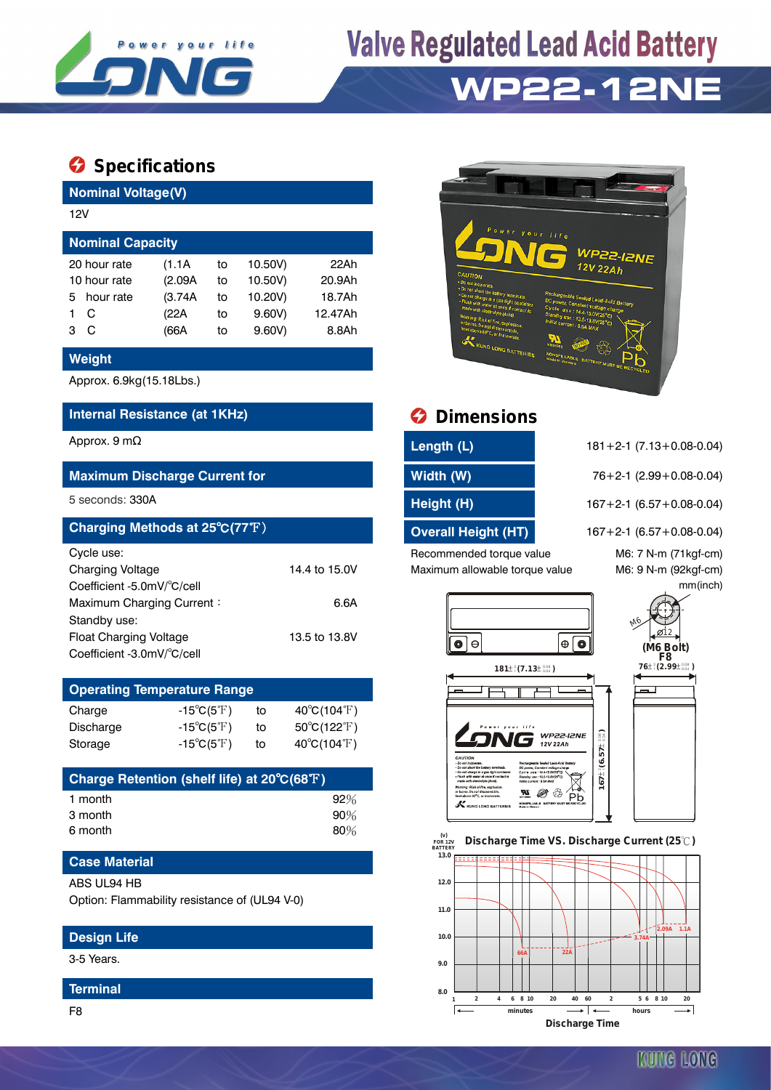

# **Valve Regulated Lead Acid Battery**



### **Specifications**

**Nominal Voltage(V)**

| 12V                     |  |         |    |         |         |  |  |  |  |
|-------------------------|--|---------|----|---------|---------|--|--|--|--|
| <b>Nominal Capacity</b> |  |         |    |         |         |  |  |  |  |
| 20 hour rate            |  | (1.1A)  | to | 10.50V) | 22Ah    |  |  |  |  |
| 10 hour rate            |  | (2.09A) | to | 10.50V) | 20.9Ah  |  |  |  |  |
| hour rate<br>5.         |  | (3.74A) | to | 10.20V) | 18.7Ah  |  |  |  |  |
| С                       |  | (22A    | to | 9.60V   | 12.47Ah |  |  |  |  |
| C<br>з                  |  | (66A    | to | 9.60V   | 8.8Ah   |  |  |  |  |

#### **Weight**

Approx. 6.9kg(15.18Lbs.)

#### **Internal Resistance (at 1KHz) Dimensions**

| Charging Methods at 25°C(77°F) |               | <b>Overall Height (HT)</b>     | $167 + 2 - 1$ (6.57 + 0.08-0.04) |
|--------------------------------|---------------|--------------------------------|----------------------------------|
| Cycle use:                     |               | Recommended torque value       | M6: 7 N-m (71kgf-cm)             |
| <b>Charging Voltage</b>        | 14.4 to 15.0V | Maximum allowable torque value | M6: 9 N-m (92kgf-cm)             |
| Coefficient -5.0mV/°C/cell     |               |                                | mm(inch)                         |
| Maximum Charging Current:      | 6.6A          |                                |                                  |
| Standby use:                   |               |                                |                                  |
| Float Charging Voltage         | 13.5 to 13.8V | $\Theta$<br>O<br>I⊕            |                                  |
| Coefficient -3.0mV/°C/cell     |               |                                | $(M6$ Bolt)<br>$F8$              |

| <b>Operating Temperature Range</b> |                            |    |                                  |  |  |  |  |
|------------------------------------|----------------------------|----|----------------------------------|--|--|--|--|
| Charge                             | $-15^{\circ}C(5^{\circ}F)$ | to | $40^{\circ}$ C(104 $^{\circ}$ F) |  |  |  |  |
| Discharge                          | $-15^{\circ}C(5^{\circ}F)$ | to | $50^{\circ}C(122^{\circ}F)$      |  |  |  |  |
| Storage                            | $-15^{\circ}C(5^{\circ}F)$ | to | $40^{\circ}C(104^{\circ}F)$      |  |  |  |  |

| Charge Retention (shelf life) at 20°C(68°F) |        |
|---------------------------------------------|--------|
| 1 month                                     | 92%    |
| 3 month                                     | $90\%$ |
| 6 month                                     | $80\%$ |

#### **Case Material**

#### ABS UL94 HB

Option: Flammability resistance of (UL94 V-0)

#### **Design Life**

3-5 Years.

#### **Terminal**



| Length (L)          | $181 + 2 - 1$ (7.13 + 0.08 - 0.04) |
|---------------------|------------------------------------|
| Width (W)           | $76+2-1$ (2.99 + 0.08-0.04)        |
| Height (H)          | $167 + 2 - 1$ (6.57 + 0.08 - 0.04) |
| Overall Height (HT) | $167 + 2 - 1$ (6.57 + 0.08-0.04)   |
|                     |                                    |





 **FOR 12V BATTERY Discharge Time VS. Discharge Current (25 ℃)**